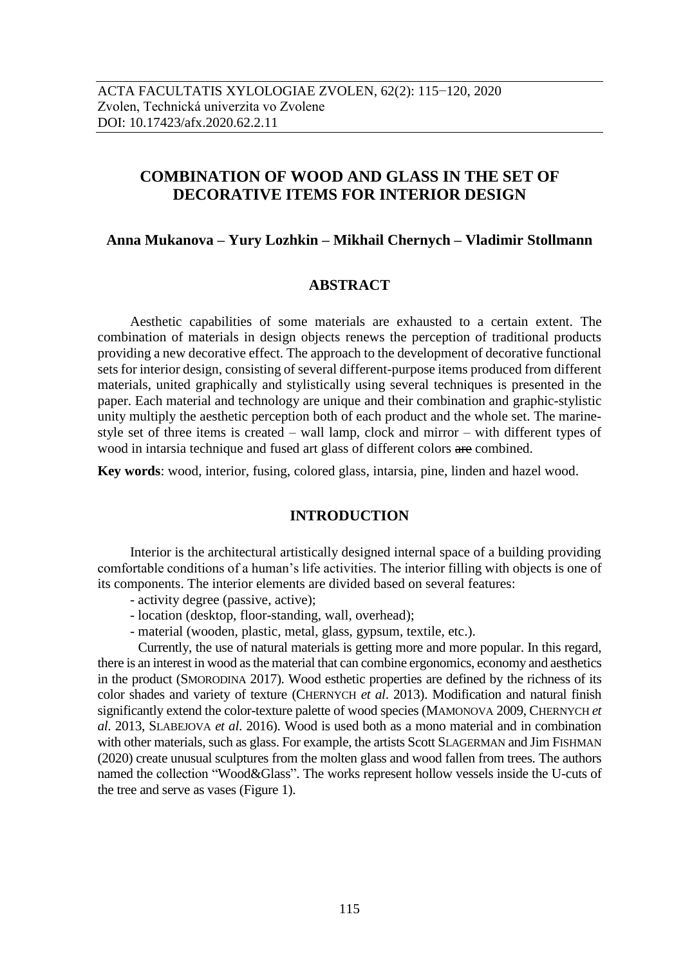# **COMBINATION OF WOOD AND GLASS IN THE SET OF DECORATIVE ITEMS FOR INTERIOR DESIGN**

## **Anna Mukanova – Yury Lozhkin – Mikhail Chernych – Vladimir Stollmann**

## **ABSTRACT**

Aesthetic capabilities of some materials are exhausted to a certain extent. The combination of materials in design objects renews the perception of traditional products providing a new decorative effect. The approach to the development of decorative functional sets for interior design, consisting of several different-purpose items produced from different materials, united graphically and stylistically using several techniques is presented in the paper. Each material and technology are unique and their combination and graphic-stylistic unity multiply the aesthetic perception both of each product and the whole set. The marinestyle set of three items is created – wall lamp, clock and mirror – with different types of wood in intarsia technique and fused art glass of different colors are combined.

**Key words**: wood, interior, fusing, colored glass, intarsia, pine, linden and hazel wood.

# **INTRODUCTION**

Interior is the architectural artistically designed internal space of a building providing comfortable conditions of a human's life activities. The interior filling with objects is one of its components. The interior elements are divided based on several features:

- activity degree (passive, active);
- location (desktop, floor-standing, wall, overhead);
- material (wooden, plastic, metal, glass, gypsum, textile, etc.).

Currently, the use of natural materials is getting more and more popular. In this regard, there is an interest in wood as the material that can combine ergonomics, economy and aesthetics in the product (SMORODINA 2017). Wood esthetic properties are defined by the richness of its color shades and variety of texture (CHERNYCH *et al*. 2013). Modification and natural finish significantly extend the color-texture palette of wood species (MAMONOVA 2009, CHERNYCH *et al*. 2013, SLABEJOVA *et al*. 2016). Wood is used both as a mono material and in combination with other materials, such as glass. For example, the artists Scott SLAGERMAN and Jim FISHMAN (2020) create unusual sculptures from the molten glass and wood fallen from trees. The authors named the collection "Wood&Glass". The works represent hollow vessels inside the U-cuts of the tree and serve as vases (Figure 1).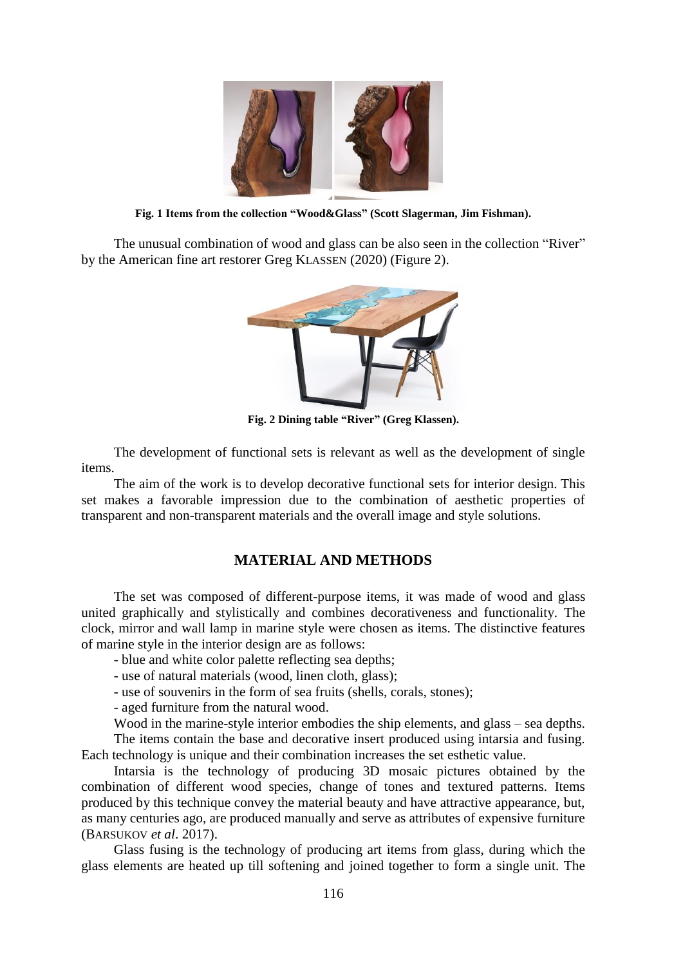

**Fig. 1 Items from the collection "Wood&Glass" (Scott Slagerman, Jim Fishman).**

The unusual combination of wood and glass can be also seen in the collection "River" by the American fine art restorer Greg KLASSEN (2020) (Figure 2).



**Fig. 2 Dining table "River" (Greg Klassen).**

The development of functional sets is relevant as well as the development of single items.

The aim of the work is to develop decorative functional sets for interior design. This set makes a favorable impression due to the combination of aesthetic properties of transparent and non-transparent materials and the overall image and style solutions.

# **MATERIAL AND METHODS**

The set was composed of different-purpose items, it was made of wood and glass united graphically and stylistically and combines decorativeness and functionality. The clock, mirror and wall lamp in marine style were chosen as items. The distinctive features of marine style in the interior design are as follows:

- blue and white color palette reflecting sea depths;
- use of natural materials (wood, linen cloth, glass);
- use of souvenirs in the form of sea fruits (shells, corals, stones);

- aged furniture from the natural wood.

Wood in the marine-style interior embodies the ship elements, and glass – sea depths. The items contain the base and decorative insert produced using intarsia and fusing. Each technology is unique and their combination increases the set esthetic value.

Intarsia is the technology of producing 3D mosaic pictures obtained by the combination of different wood species, change of tones and textured patterns. Items produced by this technique convey the material beauty and have attractive appearance, but, as many centuries ago, are produced manually and serve as attributes of expensive furniture (BARSUKOV *et al*. 2017).

Glass fusing is the technology of producing art items from glass, during which the glass elements are heated up till softening and joined together to form a single unit. The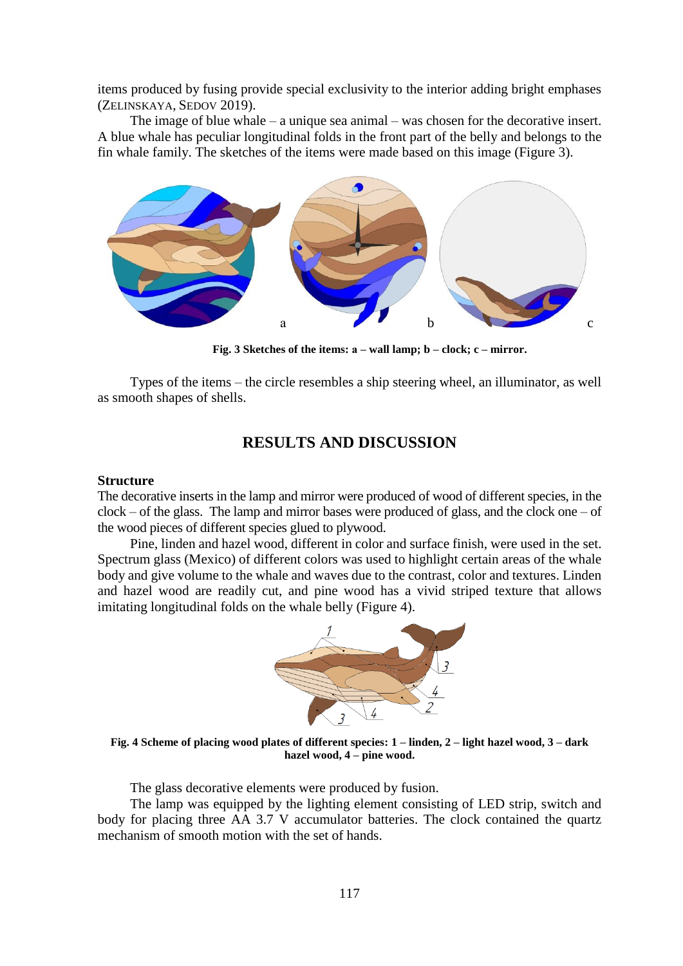items produced by fusing provide special exclusivity to the interior adding bright emphases (ZELINSKAYA, SEDOV 2019).

The image of blue whale – a unique sea animal – was chosen for the decorative insert. A blue whale has peculiar longitudinal folds in the front part of the belly and belongs to the fin whale family. The sketches of the items were made based on this image (Figure 3).



**Fig. 3 Sketches of the items: а – wall lamp; b – clock; c – mirror.**

Types of the items – the circle resembles a ship steering wheel, an illuminator, as well as smooth shapes of shells.

# **RESULTS AND DISCUSSION**

#### **Structure**

The decorative inserts in the lamp and mirror were produced of wood of different species, in the  $clock - of the glass$ . The lamp and mirror bases were produced of glass, and the clock one – of the wood pieces of different species glued to plywood.

Pine, linden and hazel wood, different in color and surface finish, were used in the set. Spectrum glass (Mexico) of different colors was used to highlight certain areas of the whale body and give volume to the whale and waves due to the contrast, color and textures. Linden and hazel wood are readily cut, and pine wood has a vivid striped texture that allows imitating longitudinal folds on the whale belly (Figure 4).



**Fig. 4 Scheme of placing wood plates of different species: 1 – linden, 2 – light hazel wood, 3 – dark hazel wood, 4 – pine wood.**

The glass decorative elements were produced by fusion.

The lamp was equipped by the lighting element consisting of LED strip, switch and body for placing three AA 3.7 V accumulator batteries. The clock contained the quartz mechanism of smooth motion with the set of hands.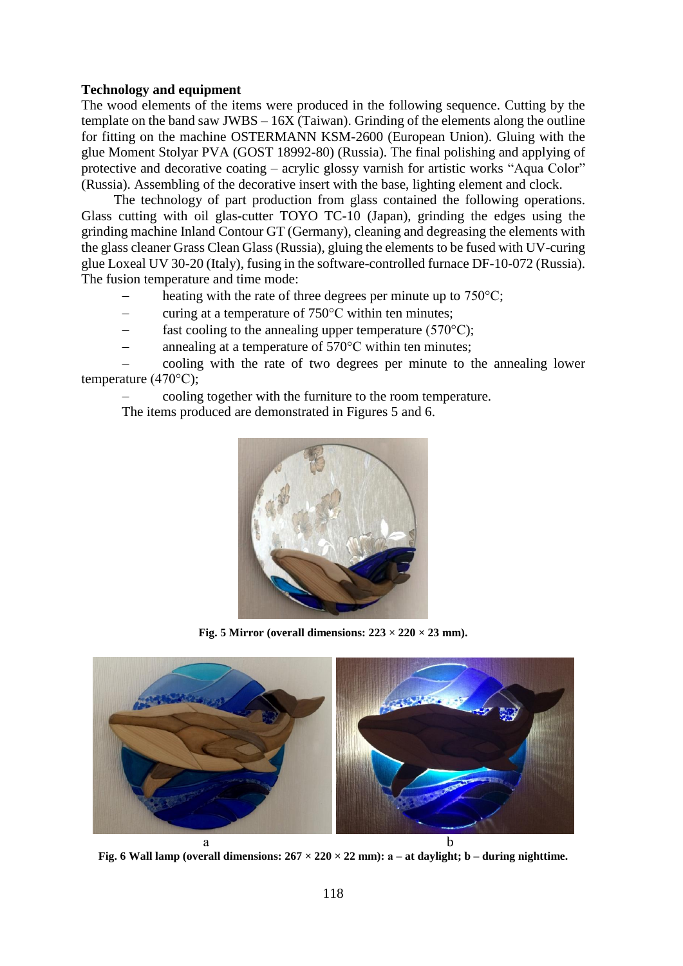# **Technology and equipment**

The wood elements of the items were produced in the following sequence. Cutting by the template on the band saw JWBS – 16X (Taiwan). Grinding of the elements along the outline for fitting on the machine OSTERMANN KSM-2600 (European Union). Gluing with the glue Moment Stolyar PVA (GOST 18992-80) (Russia). The final polishing and applying of protective and decorative coating – acrylic glossy varnish for artistic works "Aqua Color" (Russia). Assembling of the decorative insert with the base, lighting element and clock.

The technology of part production from glass contained the following operations. Glass cutting with oil glas-cutter TOYO TC-10 (Japan), grinding the edges using the grinding machine Inland Contour GT (Germany), cleaning and degreasing the elements with the glass cleaner Grass Clean Glass (Russia), gluing the elements to be fused with UV-curing glue Loxeal UV 30-20 (Italy), fusing in the software-controlled furnace DF-10-072 (Russia). The fusion temperature and time mode:

- heating with the rate of three degrees per minute up to 750°C;
- curing at a temperature of 750°С within ten minutes;
- fast cooling to the annealing upper temperature  $(570^{\circ}C)$ ;
- annealing at a temperature of 570°С within ten minutes;

 cooling with the rate of two degrees per minute to the annealing lower temperature (470°С);

cooling together with the furniture to the room temperature.

The items produced are demonstrated in Figures 5 and 6.



**Fig. 5** Mirror (overall dimensions:  $223 \times 220 \times 23$  mm).



**Fig. 6** Wall lamp (overall dimensions:  $267 \times 220 \times 22$  mm):  $a - at$  daylight;  $b - during$  nighttime.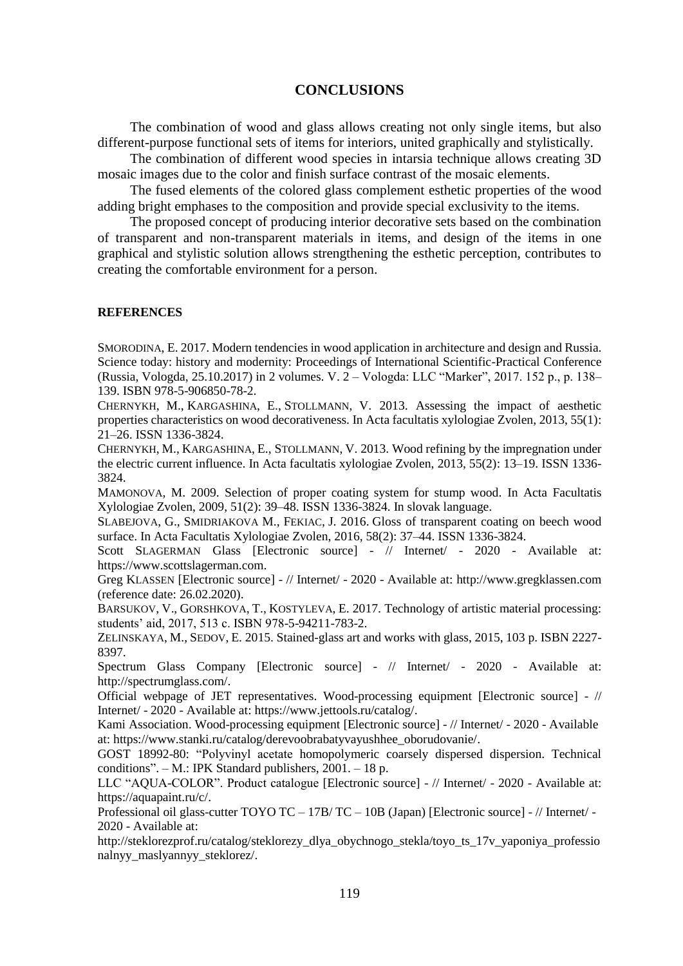#### **CONCLUSIONS**

The combination of wood and glass allows creating not only single items, but also different-purpose functional sets of items for interiors, united graphically and stylistically.

The combination of different wood species in intarsia technique allows creating 3D mosaic images due to the color and finish surface contrast of the mosaic elements.

The fused elements of the colored glass complement esthetic properties of the wood adding bright emphases to the composition and provide special exclusivity to the items.

The proposed concept of producing interior decorative sets based on the combination of transparent and non-transparent materials in items, and design of the items in one graphical and stylistic solution allows strengthening the esthetic perception, contributes to creating the comfortable environment for a person.

#### **REFERENCES**

SMORODINA, E. 2017. Modern tendencies in wood application in architecture and design and Russia. Science today: history and modernity: Proceedings of International Scientific-Practical Conference (Russia, Vologda, 25.10.2017) in 2 volumes. V. 2 – Vologda: LLC "Marker", 2017. 152 p., p. 138– 139. ISBN 978-5-906850-78-2.

CHERNYKH, M., KARGASHINA, E., STOLLMANN, V. 2013. Assessing the impact of aesthetic properties characteristics on wood decorativeness. In Acta facultatis xylologiae Zvolen, 2013, 55(1): 21–26. ISSN 1336-3824.

CHERNYKH, M., KARGASHINA, E., STOLLMANN, V. 2013. Wood refining by the impregnation under the electric current influence. In Acta facultatis xylologiae Zvolen, 2013, 55(2): 13–19. ISSN 1336- 3824.

MAMONOVA, M. 2009. Selection of proper coating system for stump wood. In Acta Facultatis Xylologiae Zvolen, 2009, 51(2): 39–48. ISSN 1336-3824. In slovak language.

SLABEJOVA, G., SMIDRIAKOVA M., FEKIAC, J. 2016. Gloss of transparent coating on beech wood surface. In Acta Facultatis Xylologiae Zvolen, 2016, 58(2): 37–44. ISSN 1336-3824.

Scott SLAGERMAN Glass [Electronic source] - // Internet/ - 2020 - Available at: https://www.scottslagerman.com.

Greg KLASSEN [Electronic source] - // Internet/ - 2020 - Available at: http://www.gregklassen.com (reference date: 26.02.2020).

BARSUKOV, V., GORSHKOVA, T., KOSTYLEVA, E. 2017. Technology of artistic material processing: students' aid, 2017, 513 с. ISBN 978-5-94211-783-2.

ZELINSKAYA, M., SEDOV, E. 2015. Stained-glass art and works with glass, 2015, 103 p. ISBN 2227- 8397.

Spectrum Glass Company [Electronic source] - // Internet/ - 2020 - Available at: http://spectrumglass.com/.

Official webpage of JET representatives. Wood-processing equipment [Electronic source] - // Internet/ - 2020 - Available at: https://www.jettools.ru/catalog/.

Kami Association. Wood-processing equipment [Electronic source] - // Internet/ - 2020 - Available at: https://www.stanki.ru/catalog/derevoobrabatyvayushhee\_oborudovanie/.

GOST 18992-80: "Polyvinyl acetate homopolymeric coarsely dispersed dispersion. Technical conditions". – М.: IPK Standard publishers, 2001. – 18 p.

LLC "AQUA-COLOR". Product catalogue [Electronic source] - // Internet/ - 2020 - Available at: https://aquapaint.ru/c/.

Professional oil glass-cutter TOYO TC – 17B/ TC – 10B (Japan) [Electronic source] - // Internet/ - 2020 - Available at:

http://steklorezprof.ru/catalog/steklorezy\_dlya\_obychnogo\_stekla/toyo\_ts\_17v\_yaponiya\_professio nalnyy\_maslyannyy\_steklorez/.